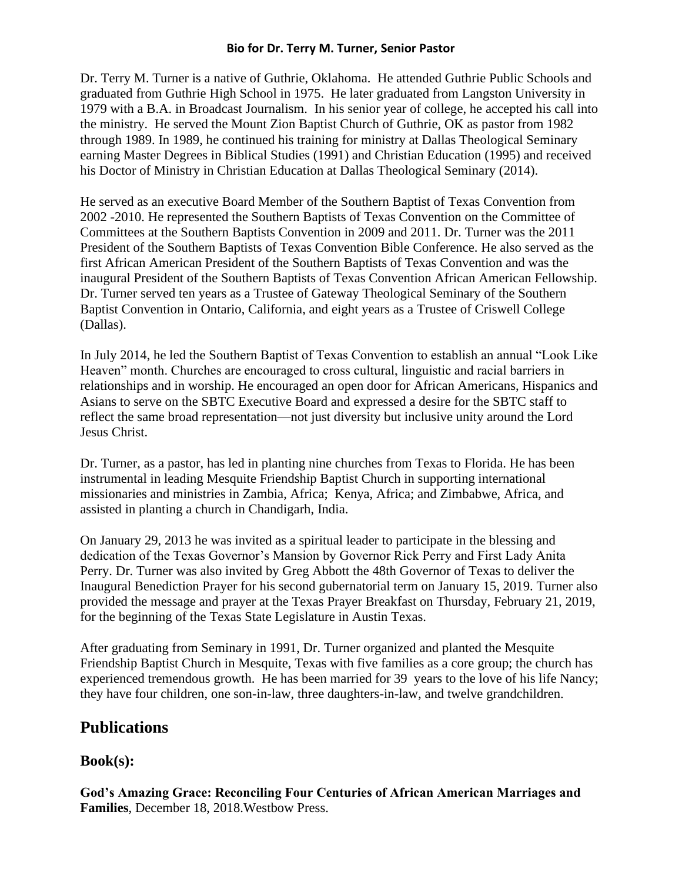## **Bio for Dr. Terry M. Turner, Senior Pastor**

Dr. Terry M. Turner is a native of Guthrie, Oklahoma. He attended Guthrie Public Schools and graduated from Guthrie High School in 1975. He later graduated from Langston University in 1979 with a B.A. in Broadcast Journalism. In his senior year of college, he accepted his call into the ministry. He served the Mount Zion Baptist Church of Guthrie, OK as pastor from 1982 through 1989. In 1989, he continued his training for ministry at Dallas Theological Seminary earning Master Degrees in Biblical Studies (1991) and Christian Education (1995) and received his Doctor of Ministry in Christian Education at Dallas Theological Seminary (2014).

He served as an executive Board Member of the Southern Baptist of Texas Convention from 2002 -2010. He represented the Southern Baptists of Texas Convention on the Committee of Committees at the Southern Baptists Convention in 2009 and 2011. Dr. Turner was the 2011 President of the Southern Baptists of Texas Convention Bible Conference. He also served as the first African American President of the Southern Baptists of Texas Convention and was the inaugural President of the Southern Baptists of Texas Convention African American Fellowship. Dr. Turner served ten years as a Trustee of Gateway Theological Seminary of the Southern Baptist Convention in Ontario, California, and eight years as a Trustee of Criswell College (Dallas).

In July 2014, he led the Southern Baptist of Texas Convention to establish an annual "Look Like Heaven" month. Churches are encouraged to cross cultural, linguistic and racial barriers in relationships and in worship. He encouraged an open door for African Americans, Hispanics and Asians to serve on the SBTC Executive Board and expressed a desire for the SBTC staff to reflect the same broad representation—not just diversity but inclusive unity around the Lord Jesus Christ.

Dr. Turner, as a pastor, has led in planting nine churches from Texas to Florida. He has been instrumental in leading Mesquite Friendship Baptist Church in supporting international missionaries and ministries in Zambia, Africa; Kenya, Africa; and Zimbabwe, Africa, and assisted in planting a church in Chandigarh, India.

On January 29, 2013 he was invited as a spiritual leader to participate in the blessing and dedication of the Texas Governor's Mansion by Governor Rick Perry and First Lady Anita Perry. Dr. Turner was also invited by Greg Abbott the 48th Governor of Texas to deliver the Inaugural Benediction Prayer for his second gubernatorial term on January 15, 2019. Turner also provided the message and prayer at the Texas Prayer Breakfast on Thursday, February 21, 2019, for the beginning of the Texas State Legislature in Austin Texas.

After graduating from Seminary in 1991, Dr. Turner organized and planted the Mesquite Friendship Baptist Church in Mesquite, Texas with five families as a core group; the church has experienced tremendous growth. He has been married for 39 years to the love of his life Nancy; they have four children, one son-in-law, three daughters-in-law, and twelve grandchildren.

## **Publications**

## **Book(s):**

**God's Amazing Grace: Reconciling Four Centuries of African American Marriages and Families**, December 18, 2018.Westbow Press.